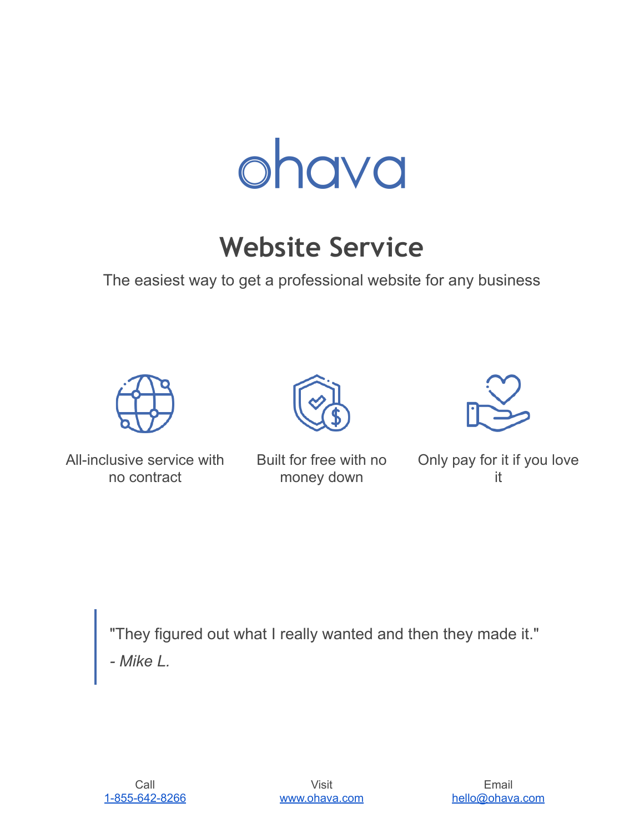

# **Website Service**

The easiest way to get a professional website for any business





Built for free with no money down



Only pay for it if you love it

"They figured out what I really wanted and then they made it." *- Mike L.*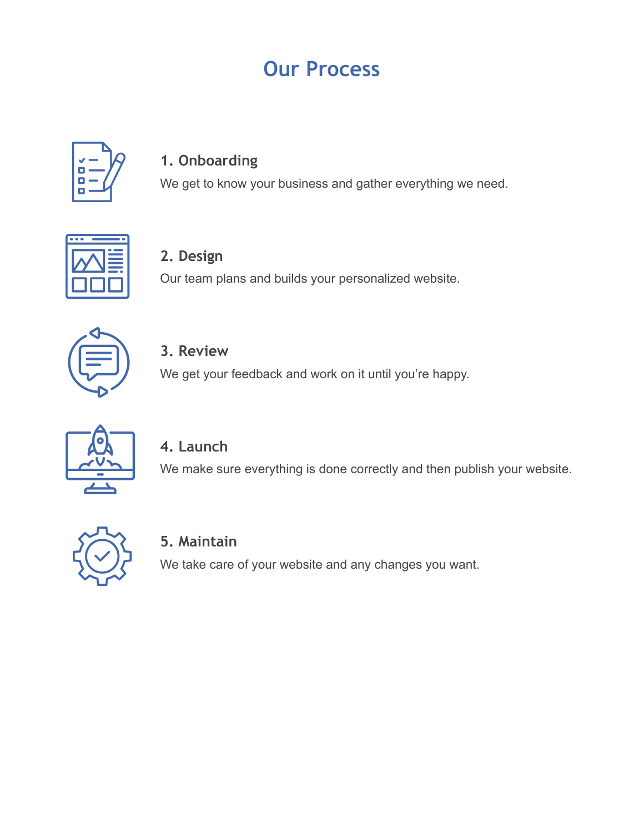# **Our Process**



### **1. Onboarding**

We get to know your business and gather everything we need.



**2. Design**

Our team plans and builds your personalized website.



**3. Review**

We get your feedback and work on it until you're happy.



### **4. Launch**

We make sure everything is done correctly and then publish your website.



### **5. Maintain**

We take care of your website and any changes you want.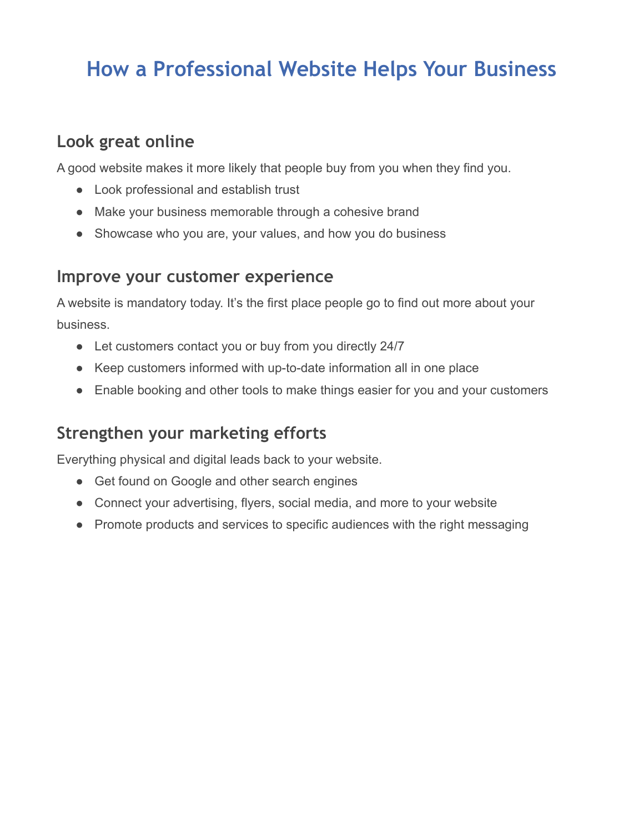# **How a Professional Website Helps Your Business**

## **Look great online**

A good website makes it more likely that people buy from you when they find you.

- Look professional and establish trust
- Make your business memorable through a cohesive brand
- Showcase who you are, your values, and how you do business

### **Improve your customer experience**

A website is mandatory today. It's the first place people go to find out more about your business.

- Let customers contact you or buy from you directly 24/7
- Keep customers informed with up-to-date information all in one place
- Enable booking and other tools to make things easier for you and your customers

## **Strengthen your marketing efforts**

Everything physical and digital leads back to your website.

- Get found on Google and other search engines
- Connect your advertising, flyers, social media, and more to your website
- Promote products and services to specific audiences with the right messaging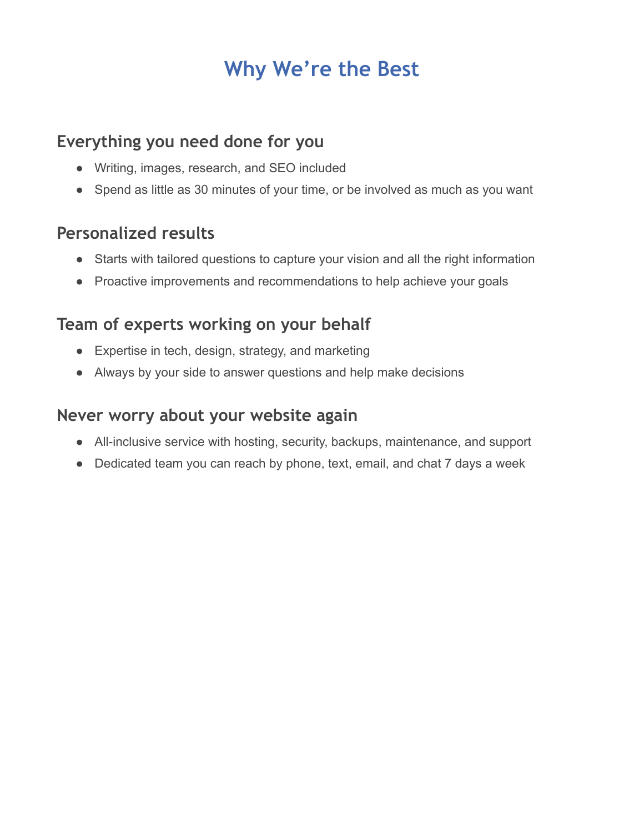# **Why We're the Best**

## **Everything you need done for you**

- Writing, images, research, and SEO included
- Spend as little as 30 minutes of your time, or be involved as much as you want

## **Personalized results**

- Starts with tailored questions to capture your vision and all the right information
- Proactive improvements and recommendations to help achieve your goals

## **Team of experts working on your behalf**

- Expertise in tech, design, strategy, and marketing
- Always by your side to answer questions and help make decisions

## **Never worry about your website again**

- All-inclusive service with hosting, security, backups, maintenance, and support
- Dedicated team you can reach by phone, text, email, and chat 7 days a week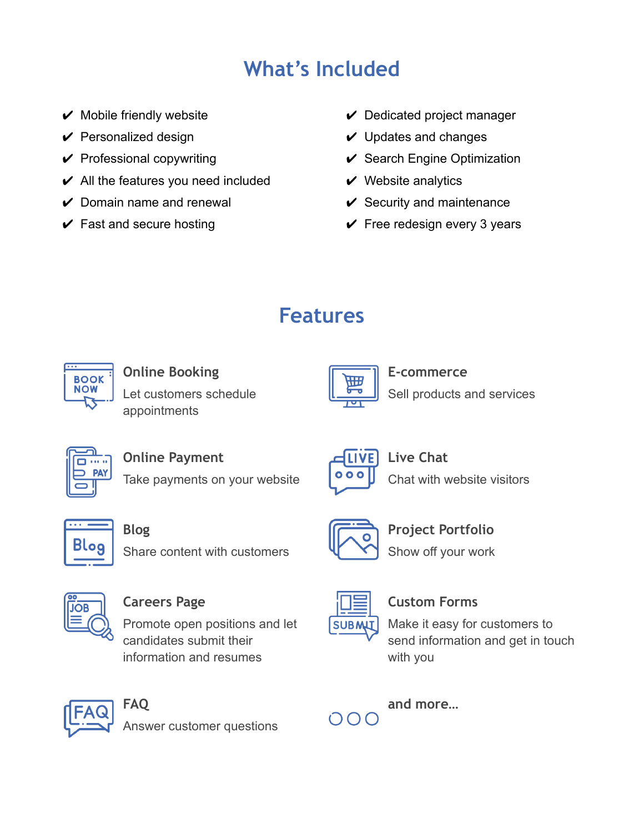# **What's Included**

- $\vee$  Mobile friendly website
- $\vee$  Personalized design
- $\vee$  Professional copywriting
- $\vee$  All the features you need included
- $\vee$  Domain name and renewal
- $\checkmark$  Fast and secure hosting
- $\vee$  Dedicated project manager
- $\vee$  Updates and changes
- $\vee$  Search Engine Optimization
- $\vee$  Website analytics
- $\checkmark$  Security and maintenance
- $\checkmark$  Free redesign every 3 years

# **Features**



### **Online Booking** Let customers schedule appointments



### **E-commerce** Sell products and services



**Online Payment**

Take payments on your website



**Live Chat** Chat with website visitors



### **Blog**

Share content with customers



### **Careers Page**

Promote open positions and let candidates submit their information and resumes



### **Custom Forms**

**Project Portfolio**

Show off your work

Make it easy for customers to send information and get in touch with you



**FAQ** Answer customer questions

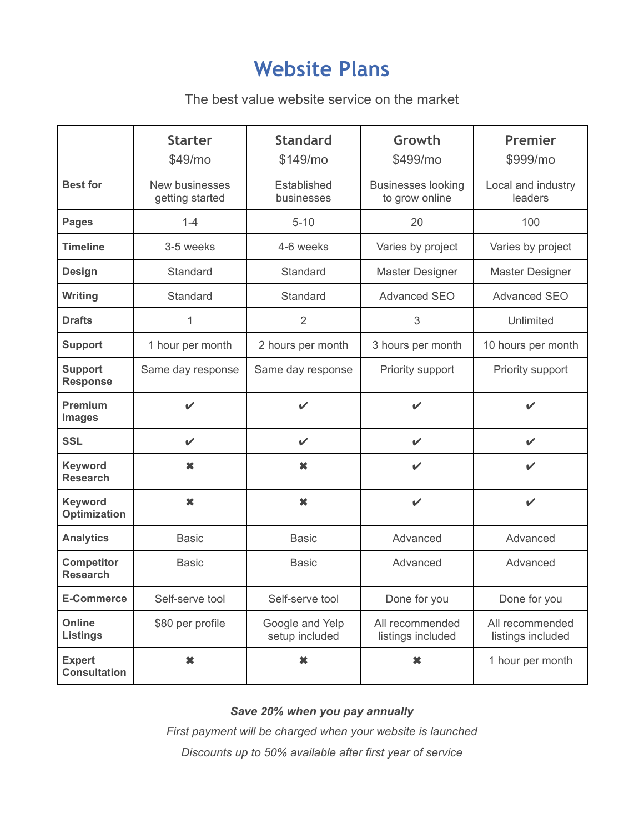## **Website Plans**

### The best value website service on the market

|                                       | <b>Starter</b><br>\$49/m <sub>o</sub> | <b>Standard</b><br>\$149/mo       | Growth<br>\$499/mo                          | Premier<br>\$999/mo                  |
|---------------------------------------|---------------------------------------|-----------------------------------|---------------------------------------------|--------------------------------------|
| <b>Best for</b>                       | New businesses<br>getting started     | Established<br>businesses         | <b>Businesses looking</b><br>to grow online | Local and industry<br>leaders        |
| <b>Pages</b>                          | $1 - 4$                               | $5 - 10$                          | 20                                          | 100                                  |
| <b>Timeline</b>                       | 3-5 weeks                             | 4-6 weeks                         | Varies by project                           | Varies by project                    |
| <b>Design</b>                         | Standard                              | Standard                          | <b>Master Designer</b>                      | <b>Master Designer</b>               |
| Writing                               | Standard                              | Standard                          | <b>Advanced SEO</b>                         | <b>Advanced SEO</b>                  |
| <b>Drafts</b>                         | 1                                     | 2                                 | 3                                           | Unlimited                            |
| <b>Support</b>                        | 1 hour per month                      | 2 hours per month                 | 3 hours per month                           | 10 hours per month                   |
| <b>Support</b><br><b>Response</b>     | Same day response                     | Same day response                 | Priority support                            | Priority support                     |
| <b>Premium</b><br><b>Images</b>       | $\boldsymbol{\nu}$                    | $\checkmark$                      | $\checkmark$                                | $\checkmark$                         |
| <b>SSL</b>                            | $\checkmark$                          | $\checkmark$                      | $\checkmark$                                | $\checkmark$                         |
| Keyword<br><b>Research</b>            | $\pmb{\times}$                        | $\pmb{\times}$                    | $\checkmark$                                | $\checkmark$                         |
| <b>Keyword</b><br><b>Optimization</b> | $\pmb{\times}$                        | ×                                 | $\checkmark$                                | $\checkmark$                         |
| <b>Analytics</b>                      | <b>Basic</b>                          | <b>Basic</b>                      | Advanced                                    | Advanced                             |
| <b>Competitor</b><br><b>Research</b>  | <b>Basic</b>                          | <b>Basic</b>                      | Advanced                                    | Advanced                             |
| <b>E-Commerce</b>                     | Self-serve tool                       | Self-serve tool                   | Done for you                                | Done for you                         |
| Online<br><b>Listings</b>             | \$80 per profile                      | Google and Yelp<br>setup included | All recommended<br>listings included        | All recommended<br>listings included |
| <b>Expert</b><br><b>Consultation</b>  | ×                                     | $\boldsymbol{\ast}$               | ×                                           | 1 hour per month                     |

#### *Save 20% when you pay annually*

*First payment will be charged when your website is launched Discounts up to 50% available after first year of service*